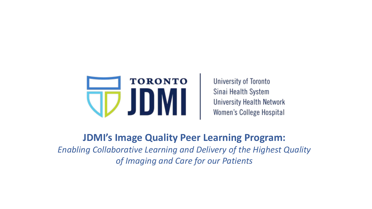

**University of Toronto** Sinai Health System **University Health Network** Women's College Hospital

**JDMI's Image Quality Peer Learning Program:** *Enabling Collaborative Learning and Delivery of the Highest Quality of Imaging and Care for our Patients*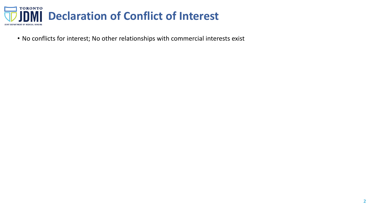

• No conflicts for interest; No other relationships with commercial interests exist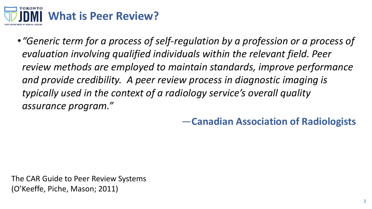

•*"Generic term for a process of self-regulation by a profession or a process of evaluation involving qualified individuals within the relevant field. Peer review methods are employed to maintain standards, improve performance and provide credibility. A peer review process in diagnostic imaging is typically used in the context of a radiology service's overall quality assurance program."*

—**Canadian Association of Radiologists**

The CAR Guide to Peer Review Systems (O'Keeffe, Piche, Mason; 2011)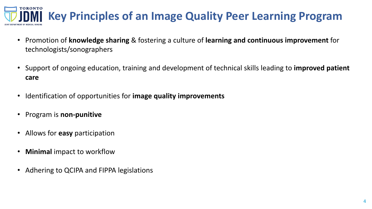## **TORONTO Key Principles of an Image Quality Peer Learning Program**

- Promotion of **knowledge sharing** & fostering a culture of **learning and continuous improvement** for technologists/sonographers
- Support of ongoing education, training and development of technical skills leading to **improved patient care**
- Identification of opportunities for **image quality improvements**
- Program is **non-punitive**
- Allows for **easy** participation
- **Minimal** impact to workflow
- Adhering to QCIPA and FIPPA legislations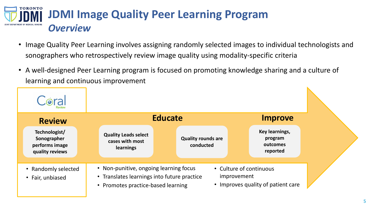

- Image Quality Peer Learning involves assigning randomly selected images to individual technologists and sonographers who retrospectively review image quality using modality-specific criteria
- A well-designed Peer Learning program is focused on promoting knowledge sharing and a culture of learning and continuous improvement

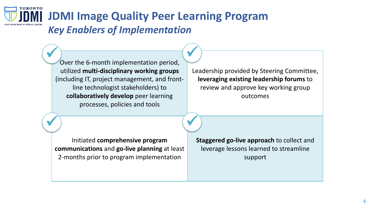**TORONTO JDMI Image Quality Peer Learning Program** *Key Enablers of Implementation*

> Over the 6-month implementation period, utilized **multi-disciplinary working groups**  (including IT, project management, and frontline technologist stakeholders) to **collaboratively develop** peer learning processes, policies and tools Cuarthe C month implementation noried

Leadership provided by Steering Committee, **leveraging existing leadership forums** to review and approve key working group outcomes

Initiated **comprehensive program communications** and **go-live planning** at least 2-months prior to program implementation

**Staggered go-live approach** to collect and leverage lessons learned to streamline support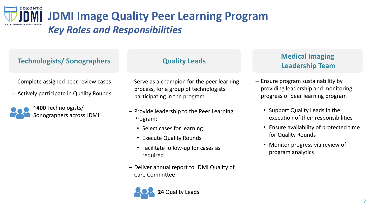**TORONTO JDMI Image Quality Peer Learning Program** *Key Roles and Responsibilities* 

### **Technologists/ Sonographers**

- − Complete assigned peer review cases
- − Actively participate in Quality Rounds



- − Serve as a champion for the peer learning process, for a group of technologists participating in the program
- − Provide leadership to the Peer Learning Program:
	- Select cases for learning
	- Execute Quality Rounds
	- Facilitate follow-up for cases as required
- − Deliver annual report to JDMI Quality of Care Committee

# **24** Quality Leads

### **Quality Leads Medical Imaging Leadership Team**

- − Ensure program sustainability by providing leadership and monitoring progress of peer learning program
	- Support Quality Leads in the execution of their responsibilities
	- Ensure availability of protected time for Quality Rounds
	- Monitor progress via review of program analytics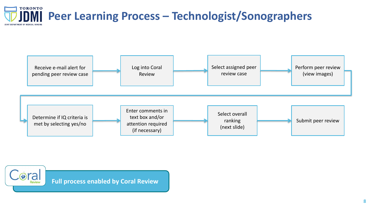



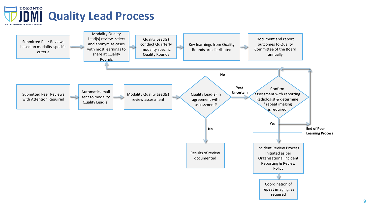